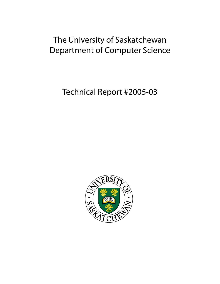# The University of Saskatchewan Department of Computer Science

Technical Report #2005-03

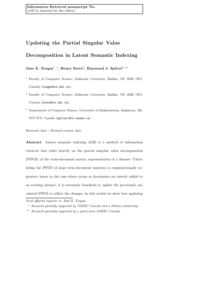# Updating the Partial Singular Value

# Decomposition in Latent Semantic Indexing

Jane E. Tougas $^1$  \*, Henry Stern $^2$ , Raymond J. Spiteri $^3$  \*\*

<sup>1</sup> Faculty of Computer Science, Dalhousie University, Halifax, NS, B3H 1W5, Canada (tougas@cs.dal.ca).

- <sup>2</sup> Faculty of Computer Science, Dalhousie University, Halifax, NS, B3H 1W5, Canada (stern@cs.dal.ca).
- <sup>3</sup> Department of Computer Science, University of Saskatchewan, Saskatoon, SK, S7N 5C9, Canada (spiteri@cs.usask.ca).

Received: date / Revised version: date

Abstract Latent semantic indexing (LSI) is a method of information retrieval that relies heavily on the partial singular value decomposition (PSVD) of the term-document matrix representation of a dataset. Calculating the PSVD of large term-document matrices is computationally expensive; hence in the case where terms or documents are merely added to an existing dataset, it is extremely beneficial to update the previously calculated PSVD to reflect the changes. In this article we show how updating

Send offprint requests to: Jane E. Tougas

<sup>⋆</sup> Research partially supported by NSERC Canada and a Killam scholarship.

<sup>⋆⋆</sup> Research partially supported by a grant from NSERC Canada.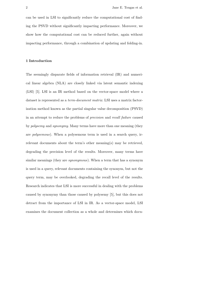can be used in LSI to significantly reduce the computational cost of finding the PSVD without significantly impacting performance. Moreover, we show how the computational cost can be reduced further, again without impacting performance, through a combination of updating and folding-in.

# 1 Introduction

The seemingly disparate fields of information retrieval (IR) and numerical linear algebra (NLA) are closely linked via latent semantic indexing (LSI) [5]. LSI is an IR method based on the vector-space model where a dataset is represented as a term-document matrix. LSI uses a matrix factorization method known as the partial singular value decomposition (PSVD) in an attempt to reduce the problems of precision and recall failure caused by polysemy and synonymy. Many terms have more than one meaning (they are polysemous). When a polysemous term is used in a search query, irrelevant documents about the term's other meaning(s) may be retrieved, degrading the precision level of the results. Moreover, many terms have similar meanings (they are *synonymous*). When a term that has a synonym is used in a query, relevant documents containing the synonym, but not the query term, may be overlooked, degrading the recall level of the results. Research indicates that LSI is more successful in dealing with the problems caused by synonymy than those caused by polysemy [5], but this does not detract from the importance of LSI in IR. As a vector-space model, LSI examines the document collection as a whole and determines which docu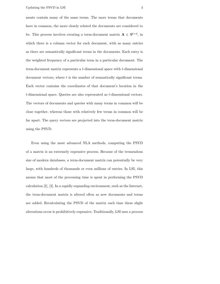ments contain many of the same terms. The more terms that documents have in common, the more closely related the documents are considered to be. This process involves creating a term-document matrix  $\mathbf{A} \in \mathbb{R}^{t \times d}$ , in which there is a column vector for each document, with as many entries as there are semantically significant terms in the documents. Each entry is the weighted frequency of a particular term in a particular document. The term-document matrix represents a t-dimensional space with t-dimensional document vectors, where t is the number of semantically significant terms. Each vector contains the coordinates of that document's location in the t-dimensional space. Queries are also represented as t-dimensional vectors. The vectors of documents and queries with many terms in common will be close together, whereas those with relatively few terms in common will be far apart. The query vectors are projected into the term-document matrix using the PSVD.

Even using the most advanced NLA methods, computing the PSVD of a matrix is an extremely expensive process. Because of the tremendous size of modern databases, a term-document matrix can potentially be very large, with hundreds of thousands or even millions of entries. In LSI, this means that most of the processing time is spent in performing the PSVD calculation [2], [3]. In a rapidly expanding environment, such as the Internet, the term-document matrix is altered often as new documents and terms are added. Recalculating the PSVD of the matrix each time these slight alterations occur is prohibitively expensive. Traditionally, LSI uses a process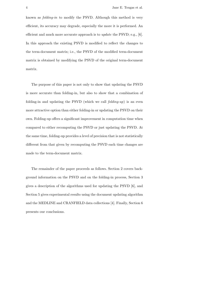known as folding-in to modify the PSVD. Although this method is very efficient, its accuracy may degrade, especially the more it is performed. An efficient and much more accurate approach is to *update* the PSVD; e.g., [6]. In this approach the existing PSVD is modified to reflect the changes to the term-document matrix; i.e., the PSVD of the modified term-document matrix is obtained by modifying the PSVD of the original term-document matrix.

The purpose of this paper is not only to show that updating the PSVD is more accurate than folding-in, but also to show that a combination of folding-in and updating the PSVD (which we call  $folding-up$ ) is an even more attractive option than either folding-in or updating the PSVD on their own. Folding-up offers a significant improvement in computation time when compared to either recomputing the PSVD or just updating the PSVD. At the same time, folding-up provides a level of precision that is not statistically different from that given by recomputing the PSVD each time changes are made to the term-document matrix.

The remainder of the paper proceeds as follows. Section 2 covers background information on the PSVD and on the folding-in process, Section 3 gives a description of the algorithms used for updating the PSVD [6], and Section 5 gives experimental results using the document updating algorithm and the MEDLINE and CRANFIELD data collections [4]. Finally, Section 6 presents our conclusions.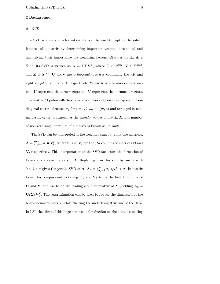# 2 Background

## 2.1 SVD

The SVD is a matrix factorization that can be used to capture the salient features of a matrix by determining important vectors (directions) and quantifying their importance via weighting factors. Given a matrix  $A \in$  $\mathbb{R}^{t \times d}$ , its SVD is written as  $\mathbf{A} = \mathbf{U} \mathbf{\Sigma} \mathbf{V}^T$ , where  $\mathbf{U} \in \mathbb{R}^{t \times t}$ ,  $\mathbf{V} \in \mathbb{R}^{d \times d}$ , and  $\Sigma \in \mathbb{R}^{t \times d}$ . U and V are *orthogonal matrices* containing the left and right *singular vectors* of  $A$  respectively. When  $A$  is a term-document matrix,  **represents the term vectors and**  $**V**$  **represents the document vectors.** The matrix  $\Sigma$  potentially has non-zero entries only on the diagonal. These diagonal entries, denoted  $\sigma_j$  for  $j = 1, 2, ..., \min(m, n)$  and arranged in nonincreasing order, are known as the *singular values* of matrix  $\bf{A}$ . The number of non-zero singular values of a matrix is known as its rank, r.

The SVD can be interpreted as the weighted sum of r rank-one matrices,  $\mathbf{A} = \sum_{j=1}^r \sigma_j \mathbf{u}_j \mathbf{v}_j^T$ , where  $\mathbf{u}_j$  and  $\mathbf{v}_j$  are the *jth* columns of matrices U and V, respectively. This interpretation of the SVD facilitates the formation of lower-rank approximations of **A**. Replacing r in this sum by any k with  $0 \leq k < r$  gives the partial SVD of **A**,  $\mathbf{A}_k = \sum_{j=1}^k \sigma_j \mathbf{u}_j \mathbf{v}_j^T \approx \mathbf{A}$ . In matrix form, this is equivalent to taking  $U_k$  and  $V_k$  to be the first k columns of U and V, and  $\Sigma_k$  to be the leading  $k \times k$  submatrix of  $\Sigma$ , yielding  $\mathbf{A}_k =$  $\mathbf{U}_k \mathbf{\Sigma}_k \mathbf{V}_k^T$ . This approximation can be used to reduce the dimension of the term-document matrix, while eliciting the underlying structure of the data. In LSI, the effect of this huge dimensional reduction on the data is a muting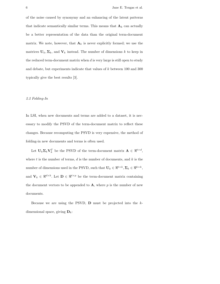of the noise caused by synonymy and an enhancing of the latent patterns that indicate semantically similar terms. This means that  $\mathbf{A}_k$  can actually be a better representation of the data than the original term-document matrix. We note, however, that  $\mathbf{A}_k$  is never explicitly formed; we use the matrices  $U_k, \Sigma_k$ , and  $V_k$  instead. The number of dimensions k to keep in the reduced term-document matrix when  $d$  is very large is still open to study and debate, but experiments indicate that values of k between 100 and 300 typically give the best results [3].

# 2.2 Folding-In

In LSI, when new documents and terms are added to a dataset, it is necessary to modify the PSVD of the term-document matrix to reflect these changes. Because recomputing the PSVD is very expensive, the method of folding-in new documents and terms is often used.

Let  $\mathbf{U}_k \mathbf{\Sigma}_k \mathbf{V}_k^T$  be the PSVD of the term-document matrix  $\mathbf{A} \in \mathbb{R}^{t \times d}$ , where  $t$  is the number of terms,  $d$  is the number of documents, and  $k$  is the number of dimensions used in the PSVD, such that  $\mathbf{U}_k \in \mathbb{R}^{t \times k}, \mathbf{\Sigma}_k \in \mathbb{R}^{k \times k}$ , and  $\mathbf{V}_k \in \mathbb{R}^{d \times k}$ . Let  $\mathbf{D} \in \mathbb{R}^{t \times p}$  be the term-document matrix containing the document vectors to be appended to  $\mathbf{A}$ , where p is the number of new documents.

Because we are using the PSVD,  $\bf{D}$  must be projected into the  $k$ dimensional space, giving  $\mathbf{D}_k$ :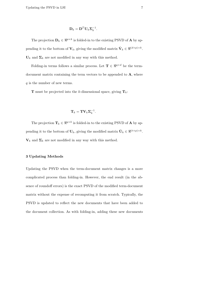$$
\mathbf{D}_k = \mathbf{D}^T \mathbf{U}_k \mathbf{\Sigma}_k^{-1}.
$$

The projection  $\mathbf{D}_k \in \Re^{p \times k}$  is folded-in to the existing PSVD of **A** by appending it to the bottom of  $\mathbf{V}_k$ , giving the modified matrix  $\hat{\mathbf{V}}_k \in \Re^{(d+p)\times k}$ .  $U_k$  and  $\Sigma_k$  are not modified in any way with this method.

Folding-in terms follows a similar process. Let  $\mathbf{T} \in \mathbb{R}^{q \times d}$  be the termdocument matrix containing the term vectors to be appended to  $A$ , where q is the number of new terms.

**T** must be projected into the k-dimensional space, giving  $T_k$ :

$$
\mathbf{T}_k = \mathbf{T} \mathbf{V}_k \mathbf{\Sigma}_k^{-1}.
$$

The projection  $\mathbf{T}_k \in \Re^{q \times k}$  is folded-in to the existing PSVD of **A** by appending it to the bottom of  $\mathbf{U}_k$ , giving the modified matrix  $\hat{\mathbf{U}}_k \in \Re^{(t+p)\times k}$ .  $V_k$  and  $\Sigma_k$  are not modified in any way with this method.

# 3 Updating Methods

Updating the PSVD when the term-document matrix changes is a more complicated process than folding-in. However, the end result (in the absence of roundoff errors) is the exact PSVD of the modified term-document matrix without the expense of recomputing it from scratch. Typically, the PSVD is updated to reflect the new documents that have been added to the document collection. As with folding-in, adding these new documents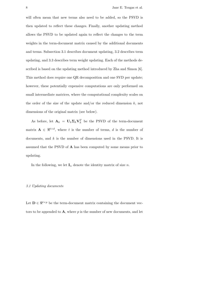will often mean that new terms also need to be added, so the PSVD is then updated to reflect these changes. Finally, another updating method allows the PSVD to be updated again to reflect the changes to the term weights in the term-document matrix caused by the additional documents and terms. Subsection 3.1 describes document updating, 3.2 describes term updating, and 3.3 describes term weight updating. Each of the methods described is based on the updating method introduced by Zha and Simon [6]. This method does require one QR decomposition and one SVD per update; however, these potentially expensive computations are only performed on small intermediate matrices, where the computational complexity scales on the order of the size of the update and/or the reduced dimension  $k$ , not dimensions of the original matrix (see below).

As before, let  $\mathbf{A}_k = \mathbf{U}_k \mathbf{\Sigma}_k \mathbf{V}_k^T$  be the PSVD of the term-document matrix  $\mathbf{A} \in \mathbb{R}^{t \times d}$ , where t is the number of terms, d is the number of documents, and  $k$  is the number of dimensions used in the PSVD. It is assumed that the PSVD of A has been computed by some means prior to updating.

In the following, we let  $I_n$  denote the identity matrix of size n.

#### 3.1 Updating documents

Let  $\mathbf{D} \in \Re^{t \times p}$  be the term-document matrix containing the document vectors to be appended to  $\mathbf{A}$ , where p is the number of new documents, and let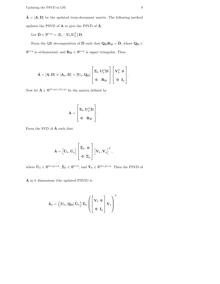$\tilde{\mathbf{A}} = [\mathbf{A}, \mathbf{D}]$  be the updated term-document matrix. The following method updates the PSVD of  $\mathbf A$  to give the PSVD of  $\tilde{\mathbf A}$ .

Let  $\hat{\mathbf{D}} \in \Re^{t \times p} = (\mathbf{I}_t - \mathbf{U}_k \mathbf{U}_k^T) \mathbf{D}.$ 

Form the QR decomposition of  $\hat{\mathbf{D}}$  such that  $\mathbf{Q}_{\mathbf{D}}\mathbf{R}_{\mathbf{D}} = \hat{\mathbf{D}}$ , where  $\mathbf{Q}_{\mathbf{D}} \in$  $\mathbb{R}^{t \times p}$  is orthonormal, and  $\mathbf{R}_{\mathbf{D}} \in \mathbb{R}^{p \times p}$  is upper triangular. Then

$$
\tilde{\mathbf{A}} = [\mathbf{A}, \mathbf{D}] \approx [\mathbf{A}_k, \mathbf{D}] = [\mathbf{U}_k, \mathbf{Q_D}] \begin{bmatrix} \mathbf{\Sigma}_k & \mathbf{U}_k^T \mathbf{D} \\ \mathbf{0} & \mathbf{R_D} \end{bmatrix} \begin{bmatrix} \mathbf{V}_k^T & \mathbf{0} \\ \mathbf{0} & \mathbf{I}_p \end{bmatrix}
$$

Now let  $\hat{\mathbf{A}} \in \Re^{(k+p) \times (k+p)}$  be the matrix defined by

$$
\hat{\mathbf{A}} = \begin{bmatrix} \mathbf{\Sigma}_k & \mathbf{U}_k^T \mathbf{D} \\ \mathbf{0} & \mathbf{R} \mathbf{D} \end{bmatrix}.
$$

Form the SVD of  $\hat{A}$  such that

$$
\hat{\mathbf{A}} = \begin{bmatrix} \hat{\mathbf{U}}_k, \hat{\mathbf{U}}_p \end{bmatrix} \begin{bmatrix} \hat{\mathbf{\Sigma}}_k & \mathbf{0} \\ \mathbf{0} & \hat{\mathbf{\Sigma}}_p \end{bmatrix} \begin{bmatrix} \hat{\mathbf{V}}_k, \hat{\mathbf{V}}_p \end{bmatrix}^T,
$$

where  $\hat{\mathbf{U}}_k \in \mathbb{R}^{(k+p)\times k}$ ,  $\hat{\mathbf{\Sigma}}_k \in \mathbb{R}^{k\times k}$ , and  $\hat{\mathbf{V}}_k \in \mathbb{R}^{(k+p)\times k}$ . Then the PSVD of

 $\tilde{\mathbf{A}}$  in k dimensions (the updated PSVD) is

$$
\tilde{\mathbf{A}}_k = \left( \left[ \mathbf{U}_k, \mathbf{Q}_{\mathbf{D}} \right] \hat{\mathbf{U}}_k \right) \hat{\mathbf{\Sigma}}_k \left( \begin{bmatrix} \mathbf{V}_k & \mathbf{0} \\ \mathbf{0} & \mathbf{I}_p \end{bmatrix} \hat{\mathbf{V}}_k \right)^T.
$$

.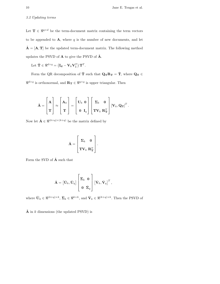# 3.2 Updating terms

Let  $\mathbf{T} \in \mathbb{R}^{q \times d}$  be the term-document matrix containing the term vectors to be appended to  $A$ , where  $q$  is the number of new documents, and let  $\tilde{\mathbf{A}} = [\mathbf{A}, \mathbf{T}]$  be the updated term-document matrix. The following method updates the PSVD of  $\mathbf A$  to give the PSVD of  $\tilde{\mathbf A}$ .

Let  $\hat{\mathbf{T}} \in \Re^{d \times q} = (\mathbf{I}_{\mathbf{d}} - \mathbf{V}_k \mathbf{V}_k^T) \mathbf{T}^T$ .

Form the QR decomposition of  $\hat{\mathbf{T}}$  such that  $\mathbf{Q_T}\mathbf{R_T} = \hat{\mathbf{T}}$ , where  $\mathbf{Q_T} \in$  $\Re^{d \times q}$  is orthonormal, and  $\mathbf{R_T} \in \Re^{q \times q}$  is upper triangular. Then

$$
\tilde{\mathbf{A}} = \begin{bmatrix} \mathbf{A} \\ \mathbf{T} \end{bmatrix} \approx \begin{bmatrix} \mathbf{A}_k \\ \mathbf{T} \end{bmatrix} = \begin{bmatrix} \mathbf{U}_k & \mathbf{0} \\ \mathbf{0} & \mathbf{I}_q \end{bmatrix} \begin{bmatrix} \mathbf{\Sigma}_k & \mathbf{0} \\ \mathbf{T} \mathbf{V}_k & \mathbf{R}^T_{\mathbf{T}} \end{bmatrix} [\mathbf{V}_k, \mathbf{Q_T}]^T.
$$

Now let  $\hat{\mathbf{A}} \in \Re^{(k+q)\times (k+q)}$  be the matrix defined by

$$
\hat{\mathbf{A}} = \begin{bmatrix} \mathbf{\Sigma}_k & \mathbf{0} \\ \mathbf{T} \mathbf{V}_k & \mathbf{R}_\mathbf{T}^T \end{bmatrix}.
$$

Form the SVD of  $\hat{\mathbf{A}}$  such that

$$
\hat{\mathbf{A}} = \begin{bmatrix} \bar{\mathbf{U}}_k, \bar{\mathbf{U}}_q \end{bmatrix} \begin{bmatrix} \bar{\mathbf{\Sigma}}_k & \mathbf{0} \\ \mathbf{0} & \bar{\mathbf{\Sigma}}_q \end{bmatrix} \begin{bmatrix} \bar{\mathbf{V}}_k, \bar{\mathbf{V}}_q \end{bmatrix}^T,
$$

where  $\bar{\mathbf{U}}_k \in \mathbb{R}^{(k+q)\times k}$ ,  $\bar{\mathbf{\Sigma}}_k \in \mathbb{R}^{k\times k}$ , and  $\bar{\mathbf{V}}_k \in \mathbb{R}^{(k+q)\times k}$ . Then the PSVD of

 $\tilde{\mathbf{A}}$  in k dimensions (the updated PSVD) is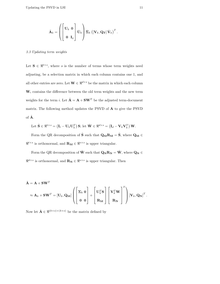$$
\tilde{\mathbf{A}}_k = \left( \begin{bmatrix} \mathbf{U}_k & \mathbf{0} \\ \mathbf{0} & \mathbf{I}_q \end{bmatrix} \bar{\mathbf{U}}_k \right) \bar{\mathbf{\Sigma}}_k \left( [\mathbf{V}_k, \mathbf{Q_T}] \bar{\mathbf{V}}_k \right)^T.
$$

#### 3.3 Updating term weights

Let  $\mathbf{S} \in \mathbb{R}^{t \times s}$ , where s is the number of terms whose term weights need adjusting, be a selection matrix in which each column contains one 1, and all other entries are zero. Let  $\mathbf{W} \in \mathbb{R}^{d \times s}$  be the matrix in which each column  $W_i$  contains the difference between the old term weights and the new term weights for the term  $i.$  Let  $\tilde{\mathbf{A}} = \mathbf{A} + \mathbf{S}\mathbf{W}^T$  be the adjusted term-document matrix. The following method updates the PSVD of A to give the PSVD of  $\tilde{\mathbf{A}}$ .

Let 
$$
\hat{\mathbf{S}} \in \mathbb{R}^{t \times s} = (\mathbf{I}_t - \mathbf{U}_k \mathbf{U}_k^T) \mathbf{S}
$$
; let  $\hat{\mathbf{W}} \in \mathbb{R}^{d \times s} = (\mathbf{I}_d - \mathbf{V}_k \mathbf{V}_k^T) \mathbf{W}$ .

Form the QR decomposition of  $\hat{\bf S}$  such that  ${\bf Q}_{{\bf M}}{\bf R}_{{\bf M}}=\hat{\bf S},$  where  ${\bf Q}_{{\bf M}}\in$  $\mathbb{R}^{t \times s}$  is orthonormal, and  $\mathbf{R}_{\mathbf{M}} \in \mathbb{R}^{s \times s}$  is upper triangular.

Form the QR decomposition of  $\hat{\mathbf{W}}$  such that  $\mathbf{Q_N}\mathbf{R_N} = \hat{\mathbf{W}}$ , where  $\mathbf{Q_N} \in \mathbb{R}$  $\Re^{d\times s}$  is orthonormal, and  $\mathbf{R}_{\mathbf{N}} \in \Re^{s\times s}$  is upper triangular. Then

$$
\tilde{\mathbf{A}} = \mathbf{A} + \mathbf{S}\mathbf{W}^T
$$
\n
$$
\approx \mathbf{A}_k + \mathbf{S}\mathbf{W}^T = \left[\mathbf{U}_k, \mathbf{Q}_M\right] \left( \begin{bmatrix} \mathbf{\Sigma}_k & \mathbf{0} \\ \mathbf{0} & \mathbf{0} \end{bmatrix} + \begin{bmatrix} \mathbf{U}_k^T \mathbf{S} \\ \mathbf{R}_M \end{bmatrix} \begin{bmatrix} \mathbf{V}_k^T \mathbf{W} \\ \mathbf{R}_N \end{bmatrix}^T \right) \left[\mathbf{V}_k, \mathbf{Q}_N\right]^T
$$

Now let  $\hat{\mathbf{A}} \in \Re^{(k+s)\times (k+s)}$  be the matrix defined by

.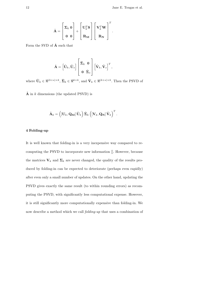.

$$
\hat{\mathbf{A}} = \begin{bmatrix} \mathbf{\Sigma}_k & \mathbf{0} \\ \mathbf{0} & \mathbf{0} \end{bmatrix} + \begin{bmatrix} \mathbf{U}_k^T \mathbf{S} \\ \mathbf{R}_{\mathbf{M}} \end{bmatrix} \begin{bmatrix} \mathbf{V}_k^T \mathbf{W} \\ \mathbf{R}_{\mathbf{N}} \end{bmatrix}^T
$$

Form the SVD of  $\hat{A}$  such that

$$
\hat{\mathbf{A}} = \begin{bmatrix} \tilde{\mathbf{U}}_k, \tilde{\mathbf{U}}_s \end{bmatrix} \begin{bmatrix} \tilde{\mathbf{\Sigma}}_k & \mathbf{0} \\ \mathbf{0} & \tilde{\mathbf{\Sigma}}_s \end{bmatrix} \begin{bmatrix} \tilde{\mathbf{V}}_k, \tilde{\mathbf{V}}_s \end{bmatrix}^T,
$$

where  $\tilde{\mathbf{U}}_k \in \mathbb{R}^{(k+s)\times k}$ ,  $\tilde{\mathbf{\Sigma}}_k \in \mathbb{R}^{k\times k}$ , and  $\tilde{\mathbf{V}}_k \in \mathbb{R}^{(k+s)\times k}$ . Then the PSVD of

 $\tilde{A}$  in k dimensions (the updated PSVD) is

$$
\tilde{\mathbf{A}}_k = \left( \left[ \mathbf{U}_k, \mathbf{Q}_\mathbf{M} \right] \tilde{\mathbf{U}}_k \right) \tilde{\boldsymbol{\Sigma}}_k \left( \left[ \mathbf{V}_k, \mathbf{Q}_\mathbf{N} \right] \tilde{\mathbf{V}}_k \right)^T.
$$

#### 4 Folding-up

It is well known that folding-in is a very inexpensive way compared to recomputing the PSVD to incorporate new information []. However, because the matrices  $\mathbf{V}_k$  and  $\Sigma_k$  are never changed, the quality of the results produced by folding-in can be expected to deteriorate (perhaps even rapidly) after even only a small number of updates. On the other hand, updating the PSVD gives exactly the same result (to within rounding errors) as recomputing the PSVD, with significantly less computational expense. However, it is still significantly more computationally expensive than folding-in. We now describe a method which we call folding-up that uses a combination of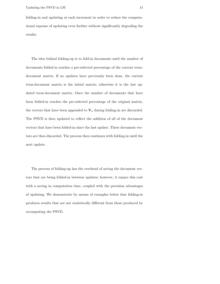folding-in and updating at each increment in order to reduce the computational expense of updating even further without significantly degrading the results.

The idea behind folding-up is to fold-in documents until the number of documents folded-in reaches a pre-selected percentage of the current termdocument matrix. If no updates have previously been done, the current term-document matrix is the initial matrix; otherwise it is the last updated term-document matrix. Once the number of documents that have been folded-in reaches the pre-selected percentage of the original matrix, the vectors that have been appended to  $V_k$  during folding-in are discarded. The PSVD is then updated to reflect the addition of all of the document vectors that have been folded-in since the last update. These document vectors are then discarded. The process then continues with folding-in until the next update.

The process of folding-up has the overhead of saving the document vectors that are being folded-in between updates; however, it repays this cost with a saving in computation time, coupled with the precision advantages of updating. We demonstrate by means of examples below that folding-in produces results that are not statistically different from those produced by recomputing the PSVD.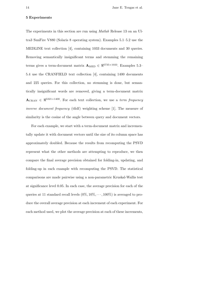# 5 Experiments

The experiments in this section are run using Matlab Release 13 on an Ultra3 SunFire V880 (Solaris 8 operating system). Examples 5.1–5.2 use the MEDLINE text collection [4], containing 1033 documents and 30 queries. Removing semantically insignificant terms and stemming the remaining terms gives a term-document matrix  $\mathbf{A}_{\text{MED}} \in \mathbb{R}^{5735 \times 1033}$ . Examples 5.3– 5.4 use the CRANFIELD text collection [4], containing 1400 documents and 225 queries. For this collection, no stemming is done, but semantically insignificant words are removed, giving a term-document matrix  $\mathbf{A}_{\text{CRAN}} \in \mathbb{R}^{5321 \times 1400}$ . For each text collection, we use a term frequency inverse document frequency (tfidf) weighting scheme [1]. The measure of similarity is the cosine of the angle between query and document vectors.

For each example, we start with a term-document matrix and incrementally update it with document vectors until the size of its column space has approximately doubled. Because the results from recomputing the PSVD represent what the other methods are attempting to reproduce, we then compare the final average precision obtained for folding-in, updating, and folding-up in each example with recomputing the PSVD. The statistical comparisons are made pairwise using a non-parametric Kruskal-Wallis test at significance level 0.05. In each case, the average precision for each of the queries at 11 standard recall levels  $(0\%, 10\%, \dots, 100\%)$  is averaged to produce the overall average precision at each increment of each experiment. For each method used, we plot the average precision at each of these increments,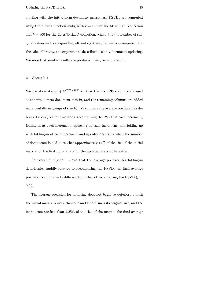starting with the initial term-document matrix. All PSVDs are computed using the *Matlab* function svds, with  $k = 125$  for the MEDLINE collection and  $k = 300$  for the CRANFIELD collection, where k is the number of singular values and corresponding left and right singular vectors computed. For the sake of brevity, the experiments described use only document updating. We note that similar results are produced using term updating.

## 5.1 Example 1

We partition  $\mathbf{A}_{\text{MED}} \in \mathbb{R}^{5735 \times 1033}$  so that the first 533 columns are used as the initial term-document matrix, and the remaining columns are added incrementally in groups of size 10. We compare the average precision (as described above) for four methods: recomputing the PSVD at each increment, folding-in at each increment, updating at each increment, and folding-up with folding-in at each increment and updates occurring when the number of documents folded-in reaches approximately 14% of the size of the initial matrix for the first update, and of the updated matrix thereafter.

As expected, Figure 1 shows that the average precision for folding-in deteriorates rapidly relative to recomputing the PSVD; the final average precision is significantly different from that of recomputing the PSVD ( $p =$ 0.02).

The average precision for updating does not begin to deteriorate until the initial matrix is more than one and a half times its original size, and the increments are less than 1.25% of the size of the matrix; the final average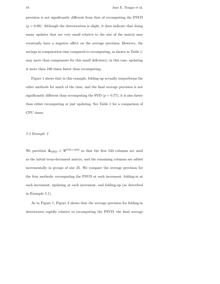precision is not significantly different from that of recomputing the PSVD  $(p = 0.89)$ . Although the deterioration is slight, it does indicate that doing many updates that are very small relative to the size of the matrix may eventually have a negative affect on the average precision. However, the savings in computation time compared to recomputing, as shown in Table 1, may more than compensate for this small deficiency; in this case, updating is more than 100 times faster than recomputing.

Figure 1 shows that in this example, folding-up actually outperforms the other methods for much of the time, and the final average precision is not significantly different than recomputing the SVD  $(p = 0.77)$ ; it is also faster than either recomputing or just updating. See Table 1 for a comparison of CPU times.

#### 5.2 Example 2

We partition  $\mathbf{A}_{\text{MED}} \in \mathbb{R}^{5735 \times 1033}$  so that the first 533 columns are used as the initial term-document matrix, and the remaining columns are added incrementally in groups of size 25. We compare the average precision for the four methods: recomputing the PSVD at each increment, folding-in at each increment, updating at each increment, and folding-up (as described in Example 5.1).

As in Figure 1, Figure 2 shows that the average precision for folding-in deteriorates rapidly relative to recomputing the PSVD; the final average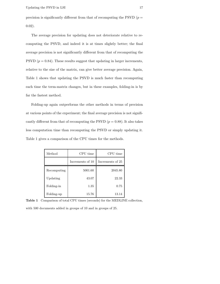The average precision for updating does not deteriorate relative to recomputing the PSVD, and indeed it is at times slightly better; the final average precision is not significantly different from that of recomputing the PSVD  $(p = 0.84)$ . These results suggest that updating in larger increments, relative to the size of the matrix, can give better average precision. Again, Table 1 shows that updating the PSVD is much faster than recomputing each time the term-matrix changes, but in these examples, folding-in is by far the fastest method.

Folding-up again outperforms the other methods in terms of precision at various points of the experiment; the final average precision is not significantly different from that of recomputing the PSVD  $(p = 0.88)$ . It also takes less computation time than recomputing the PSVD or simply updating it. Table 1 gives a comparison of the CPU times for the methods.

| Method      | CPU time         | CPU time         |
|-------------|------------------|------------------|
|             | Increments of 10 | Increments of 25 |
| Recomputing | 5001.60          | 2045.80          |
| Updating    | 43.07            | 22.33            |
| Folding-in  | 1.35             | 0.75             |
| Folding-up  | 15.76            | 13.14            |

Table 1 Comparison of total CPU times (seconds) for the MEDLINE collection,

with 500 documents added in groups of 10 and in groups of 25.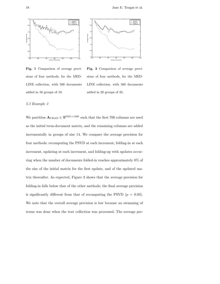



Fig. 1 Comparison of average precisions of four methods, for the MED-LINE collection, with 500 documents added in 50 groups of 10.

Fig. 2 Comparison of average precisions of four methods, for the MED-LINE collection, with 500 documents added in 20 groups of 25.

# 5.3 Example 3

We partition  $\mathbf{A}_{\text{CRAN}}\in\Re^{5321\times1400}$  such that the first 700 columns are used as the initial term-document matrix, and the remaining columns are added incrementally in groups of size 14. We compare the average precision for four methods: recomputing the PSVD at each increment, folding-in at each increment, updating at each increment, and folding-up with updates occurring when the number of documents folded-in reaches approximately 8% of the size of the initial matrix for the first update, and of the updated matrix thereafter. As expected, Figure 3 shows that the average precision for folding-in falls below that of the other methods; the final average precision is significantly different from that of recomputing the PSVD  $(p = 0.03)$ . We note that the overall average precision is low because no stemming of terms was done when the text collection was processed. The average pre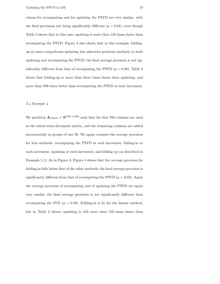cisions for recomputing and for updating the PSVD are very similar, with the final precisions not being significantly different  $(p = 0.94)$ , even though Table 2 shows that in this case, updating is more than 150 times faster than recomputing the PSVD. Figure 3 also shows that in this example, foldingup at times outperforms updating but otherwise performs similarly to both updating and recomputing the PSVD; the final average precision is not significantly different from that of recomputing the PSVD  $(p = 0.86)$ . Table 2 shows that folding-up is more than three times faster than updating, and more than 580 times faster than recomputing the PSVD at each increment.

# 5.4 Example 4

We partition  $\mathbf{A}_{\text{CRAN}} \in \mathbb{R}^{5321 \times 1400}$  such that the first 700 columns are used as the initial term-document matrix, and the remaining columns are added incrementally in groups of size 28. We again compare the average precision for four methods: recomputing the PSVD at each increment, folding-in at each increment, updating at each increment, and folding-up (as described in Example 5.1). As in Figure 3, Figure 4 shows that the average precision for folding-in falls below that of the other methods; the final average precision is significantly different from that of recomputing the PSVD  $(p = 0.03)$ . Again the average precision of recomputing and of updating the PSVD are again very similar; the final average precision is not significantly different than recomputing the SVD  $(p = 0.88)$ . Folding-in is by far the fastest method, but as Table 2 shows, updating is still more than 150 times faster than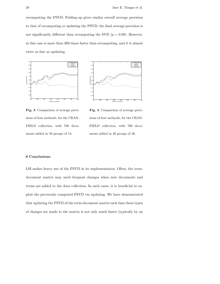recomputing the PSVD. Folding-up gives similar overall average precision to that of recomputing or updating the PSVD; the final average precision is not significantly different than recomputing the SVD  $(p = 0.90)$ . However, in this case is more than 300 times faster than recomputing, and it is almost twice as fast as updating.





Fig. 3 Comparison of average precisions of four methods, for the CRAN-FIELD collection, with 700 documents added in 50 groups of 14.

Fig. 4 Comparison of average precisions of four methods, for the CRAN-FIELD collection, with 700 documents added in 20 groups of 28.

#### 6 Conclusions

LSI makes heavy use of the PSVD in its implementation. Often, the termdocument matrix may need frequent changes when new documents and terms are added to the data collection. In such cases, it is beneficial to exploit the previously computed PSVD via updating. We have demonstrated that updating the PSVD of the term-document matrix each time these types of changes are made to the matrix is not only much faster (typically by an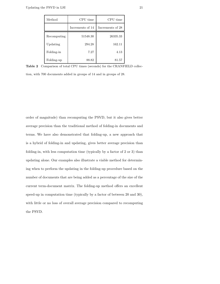| Method      | CPU time         | CPU time         |
|-------------|------------------|------------------|
|             | Increments of 14 | Increments of 28 |
| Recomputing | 51548.30         | 26335.33         |
| Updating    | 294.28           | 162.11           |
| Folding-in  | 7.27             | 4.13             |
| Folding-up  | 88.82            | 81.57            |

Table 2 Comparison of total CPU times (seconds) for the CRANFIELD collec-

tion, with 700 documents added in groups of 14 and in groups of 28.

order of magnitude) than recomputing the PSVD, but it also gives better average precision than the traditional method of folding-in documents and terms. We have also demonstrated that folding-up, a new approach that is a hybrid of folding-in and updating, gives better average precision than folding-in, with less computation time (typically by a factor of 2 or 3) than updating alone. Our examples also illustrate a viable method for determining when to perform the updating in the folding-up procedure based on the number of documents that are being added as a percentage of the size of the current term-document matrix. The folding-up method offers an excellent speed-up in computation time (typically by a factor of between 20 and 30), with little or no loss of overall average precision compared to recomputing the PSVD.